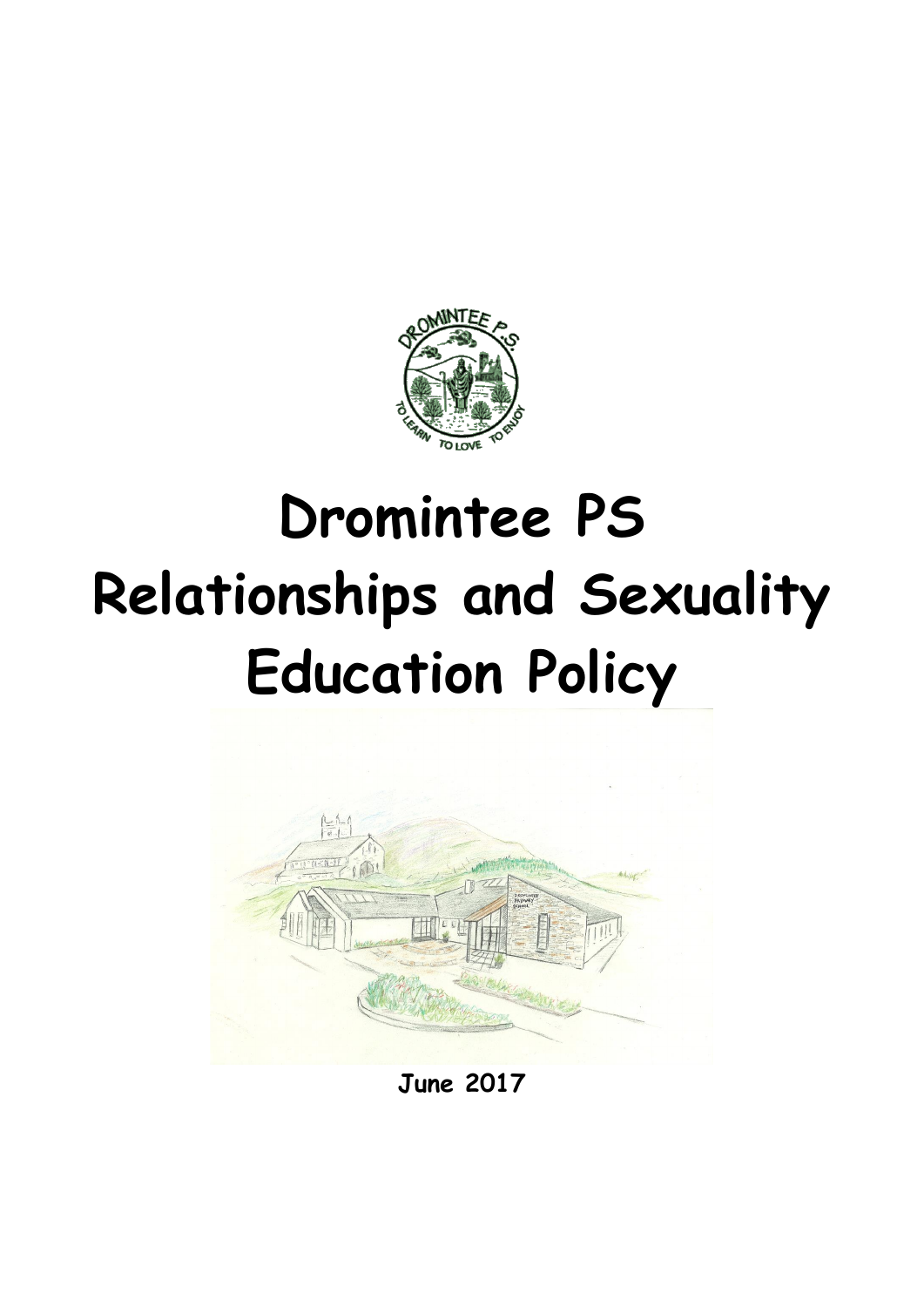

# **Dromintee PS Relationships and Sexuality Education Policy**



**June 2017**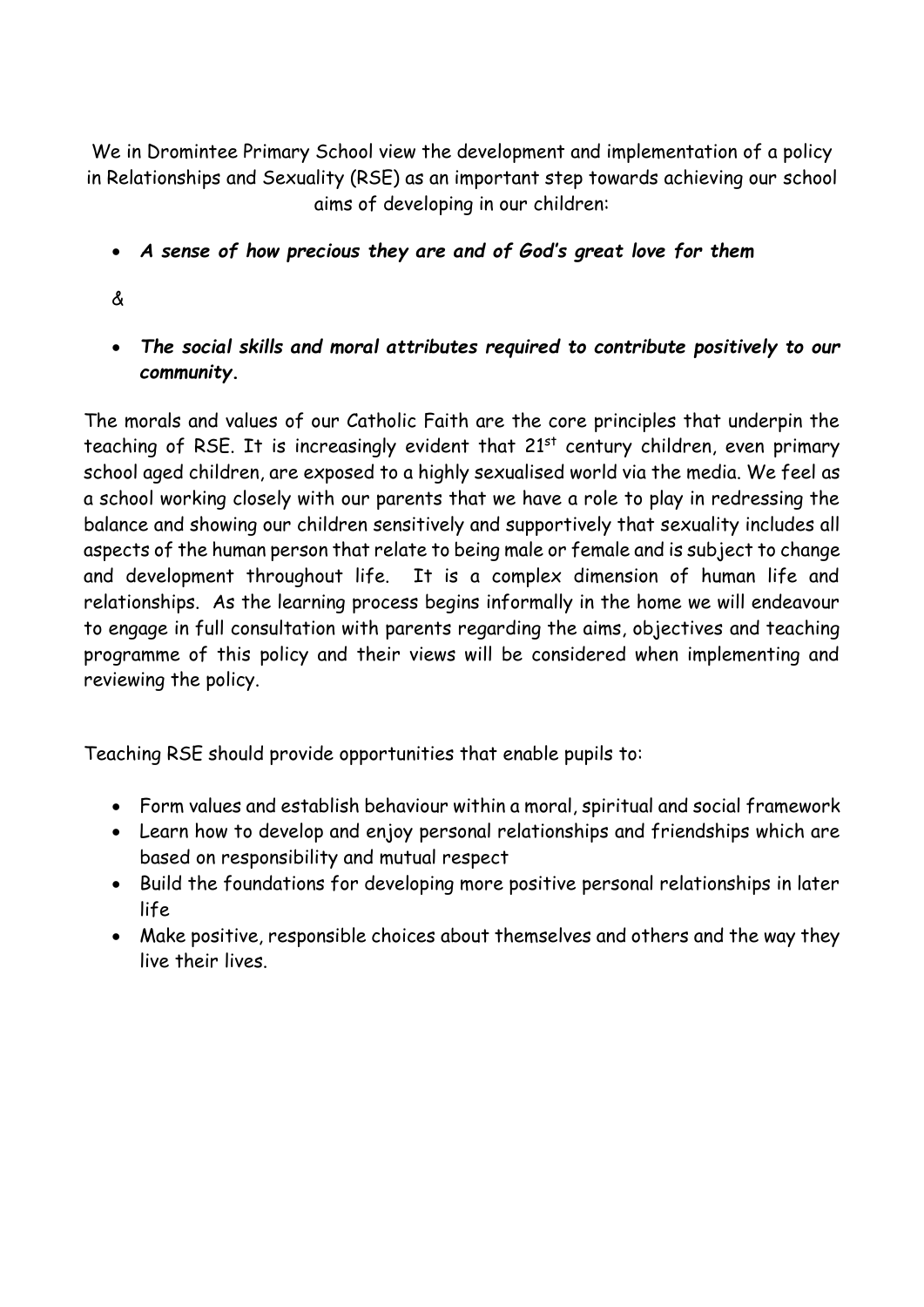We in Dromintee Primary School view the development and implementation of a policy in Relationships and Sexuality (RSE) as an important step towards achieving our school aims of developing in our children:

- *A sense of how precious they are and of God's great love for them*
- &
- *The social skills and moral attributes required to contribute positively to our community***.**

The morals and values of our Catholic Faith are the core principles that underpin the teaching of RSE. It is increasingly evident that 21<sup>st</sup> century children, even primary school aged children, are exposed to a highly sexualised world via the media. We feel as a school working closely with our parents that we have a role to play in redressing the balance and showing our children sensitively and supportively that sexuality includes all aspects of the human person that relate to being male or female and is subject to change and development throughout life. It is a complex dimension of human life and relationships. As the learning process begins informally in the home we will endeavour to engage in full consultation with parents regarding the aims, objectives and teaching programme of this policy and their views will be considered when implementing and reviewing the policy.

Teaching RSE should provide opportunities that enable pupils to:

- Form values and establish behaviour within a moral, spiritual and social framework
- Learn how to develop and enjoy personal relationships and friendships which are based on responsibility and mutual respect
- Build the foundations for developing more positive personal relationships in later life
- Make positive, responsible choices about themselves and others and the way they live their lives.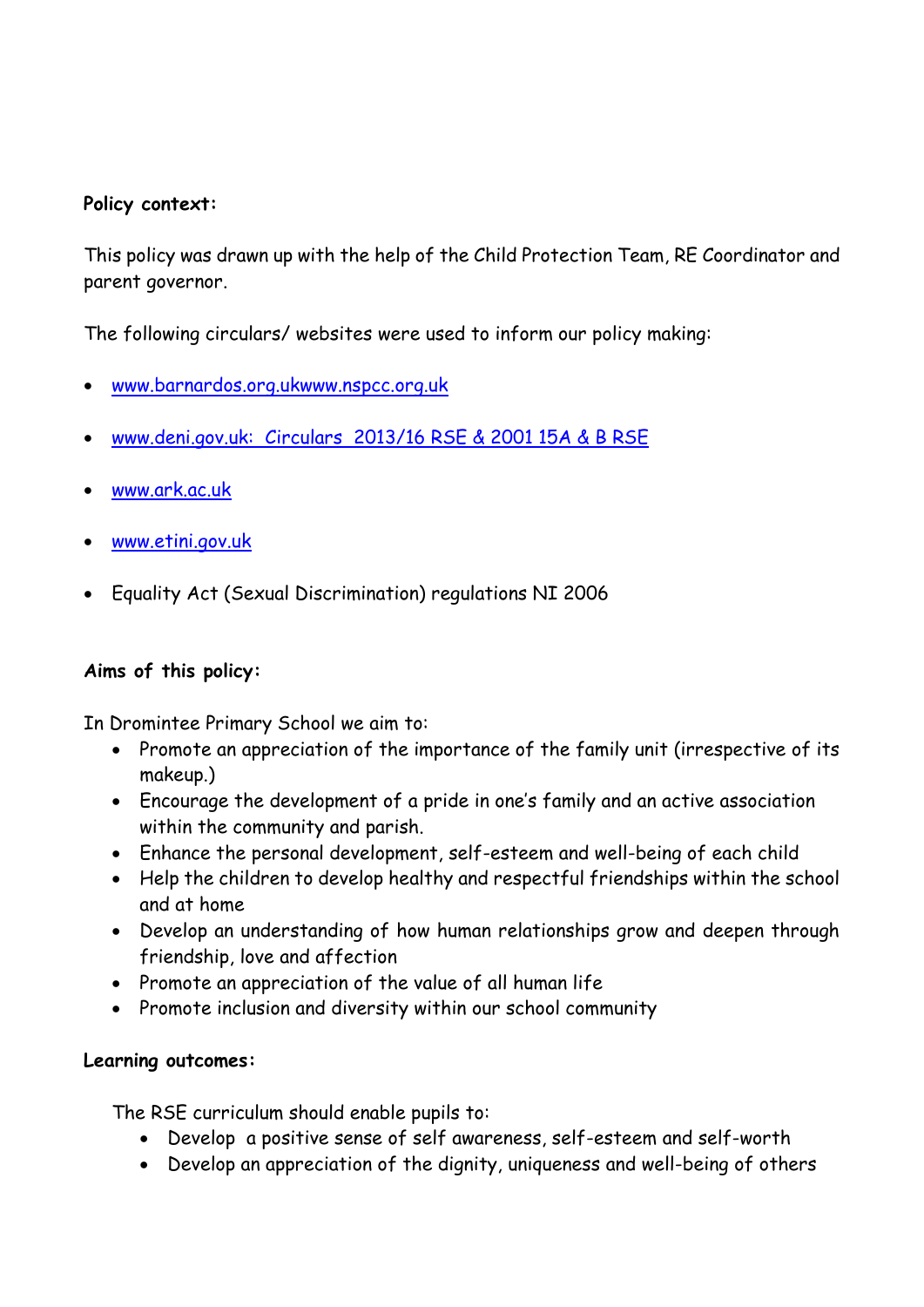## **Policy context:**

This policy was drawn up with the help of the Child Protection Team, RE Coordinator and parent governor.

The following circulars/ websites were used to inform our policy making:

- [www.barnardos.org.ukwww.nspcc.org.uk](http://www.barnardos.org.uk/)
- [www.deni.gov.uk:](http://www.deni.gov.uk/) Circulars 2013/16 RSE & 2001 15A & B RSE
- [www.ark.ac.uk](http://www.ark.ac.uk/)
- [www.etini.gov.uk](http://www.etini.gov.uk/)
- Equality Act (Sexual Discrimination) regulations NI 2006

## **Aims of this policy:**

In Dromintee Primary School we aim to:

- Promote an appreciation of the importance of the family unit (irrespective of its makeup.)
- Encourage the development of a pride in one's family and an active association within the community and parish.
- Enhance the personal development, self-esteem and well-being of each child
- Help the children to develop healthy and respectful friendships within the school and at home
- Develop an understanding of how human relationships grow and deepen through friendship, love and affection
- Promote an appreciation of the value of all human life
- Promote inclusion and diversity within our school community

## **Learning outcomes:**

The RSE curriculum should enable pupils to:

- Develop a positive sense of self awareness, self-esteem and self-worth
- Develop an appreciation of the dignity, uniqueness and well-being of others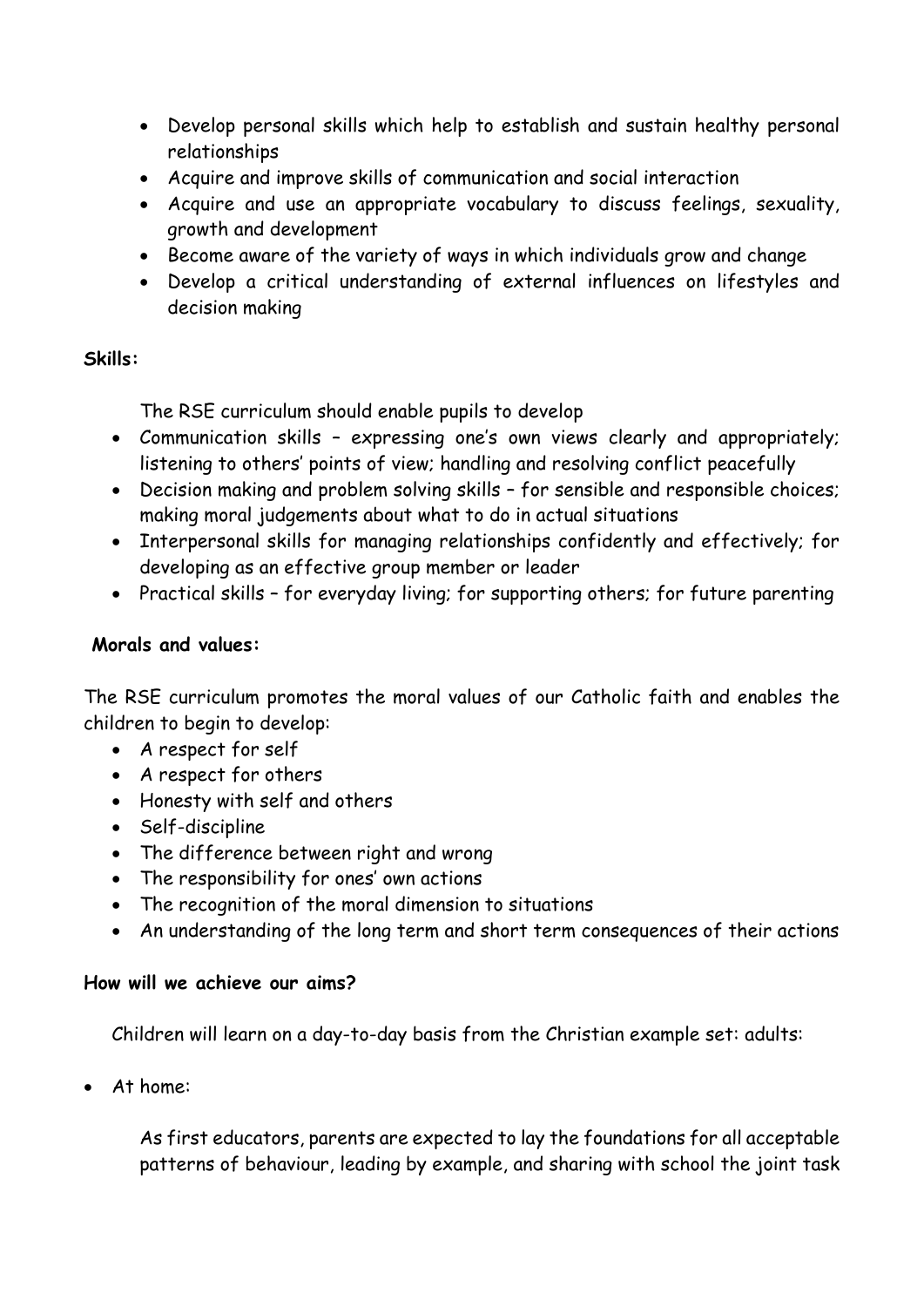- Develop personal skills which help to establish and sustain healthy personal relationships
- Acquire and improve skills of communication and social interaction
- Acquire and use an appropriate vocabulary to discuss feelings, sexuality, growth and development
- Become aware of the variety of ways in which individuals grow and change
- Develop a critical understanding of external influences on lifestyles and decision making

## **Skills:**

The RSE curriculum should enable pupils to develop

- Communication skills expressing one's own views clearly and appropriately; listening to others' points of view; handling and resolving conflict peacefully
- Decision making and problem solving skills for sensible and responsible choices; making moral judgements about what to do in actual situations
- Interpersonal skills for managing relationships confidently and effectively; for developing as an effective group member or leader
- Practical skills for everyday living; for supporting others; for future parenting

# **Morals and values:**

The RSE curriculum promotes the moral values of our Catholic faith and enables the children to begin to develop:

- A respect for self
- A respect for others
- Honesty with self and others
- Self-discipline
- The difference between right and wrong
- The responsibility for ones' own actions
- The recognition of the moral dimension to situations
- An understanding of the long term and short term consequences of their actions

# **How will we achieve our aims?**

Children will learn on a day-to-day basis from the Christian example set: adults:

At home:

As first educators, parents are expected to lay the foundations for all acceptable patterns of behaviour, leading by example, and sharing with school the joint task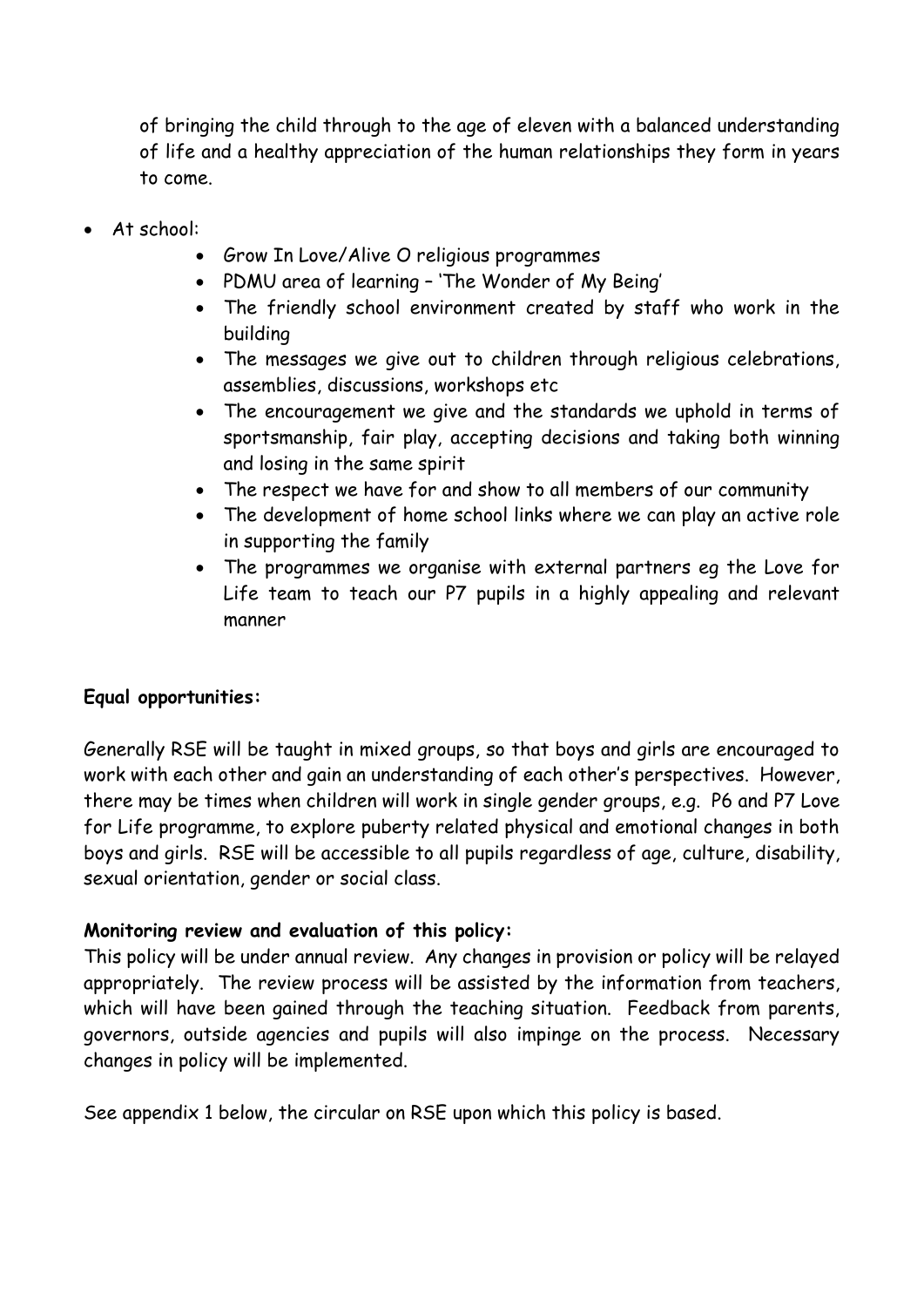of bringing the child through to the age of eleven with a balanced understanding of life and a healthy appreciation of the human relationships they form in years to come.

- At school:
	- Grow In Love/Alive O religious programmes
	- PDMU area of learning 'The Wonder of My Being'
	- The friendly school environment created by staff who work in the building
	- The messages we give out to children through religious celebrations, assemblies, discussions, workshops etc
	- The encouragement we give and the standards we uphold in terms of sportsmanship, fair play, accepting decisions and taking both winning and losing in the same spirit
	- The respect we have for and show to all members of our community
	- The development of home school links where we can play an active role in supporting the family
	- The programmes we organise with external partners eg the Love for Life team to teach our P7 pupils in a highly appealing and relevant manner

# **Equal opportunities:**

Generally RSE will be taught in mixed groups, so that boys and girls are encouraged to work with each other and gain an understanding of each other's perspectives. However, there may be times when children will work in single gender groups, e.g. P6 and P7 Love for Life programme, to explore puberty related physical and emotional changes in both boys and girls. RSE will be accessible to all pupils regardless of age, culture, disability, sexual orientation, gender or social class.

# **Monitoring review and evaluation of this policy:**

This policy will be under annual review. Any changes in provision or policy will be relayed appropriately. The review process will be assisted by the information from teachers, which will have been gained through the teaching situation. Feedback from parents, governors, outside agencies and pupils will also impinge on the process. Necessary changes in policy will be implemented.

See appendix 1 below, the circular on RSE upon which this policy is based.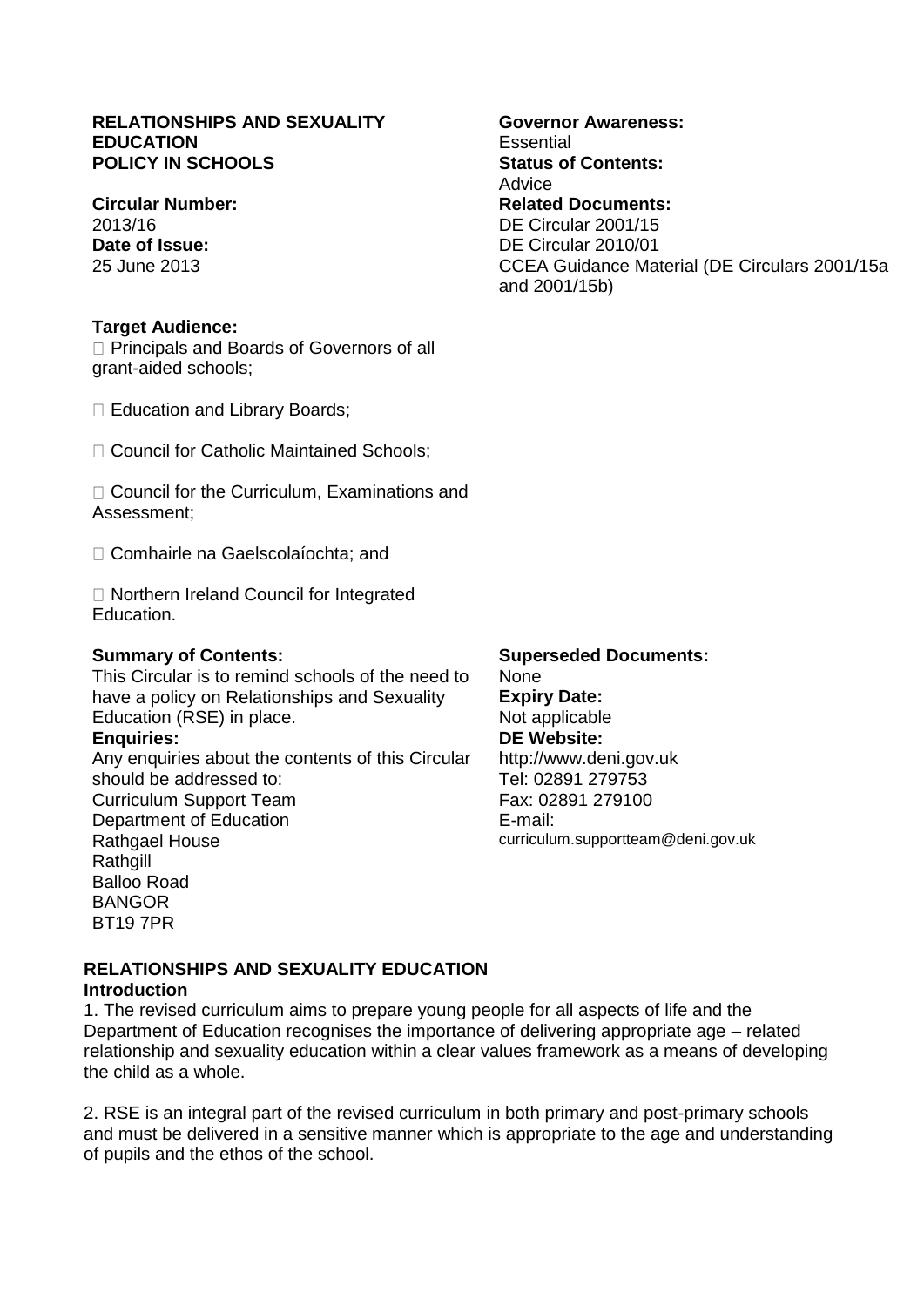#### **RELATIONSHIPS AND SEXUALITY EDUCATION POLICY IN SCHOOLS**

**Circular Number:** 

2013/16 **Date of Issue:**  25 June 2013

## **Target Audience:**

□ Principals and Boards of Governors of all grant-aided schools;

□ Education and Library Boards:

□ Council for Catholic Maintained Schools:

□ Council for the Curriculum, Examinations and Assessment;

□ Comhairle na Gaelscolaíochta: and

□ Northern Ireland Council for Integrated Education.

#### **Summary of Contents:**

This Circular is to remind schools of the need to have a policy on Relationships and Sexuality Education (RSE) in place.

#### **Enquiries:**

Any enquiries about the contents of this Circular should be addressed to: Curriculum Support Team Department of Education Rathgael House **Rathgill** Balloo Road BANGOR BT19 7PR

#### **Governor Awareness: Essential Status of Contents: Advice Related Documents:**  DE Circular 2001/15 DE Circular 2010/01 CCEA Guidance Material (DE Circulars 2001/15a and 2001/15b)

**Superseded Documents:**  None **Expiry Date:**  Not applicable **DE Website:**  http://www.deni.gov.uk Tel: 02891 279753 Fax: 02891 279100 E-mail: curriculum.supportteam@deni.gov.uk

#### **RELATIONSHIPS AND SEXUALITY EDUCATION Introduction**

1. The revised curriculum aims to prepare young people for all aspects of life and the Department of Education recognises the importance of delivering appropriate age – related relationship and sexuality education within a clear values framework as a means of developing the child as a whole.

2. RSE is an integral part of the revised curriculum in both primary and post-primary schools and must be delivered in a sensitive manner which is appropriate to the age and understanding of pupils and the ethos of the school.